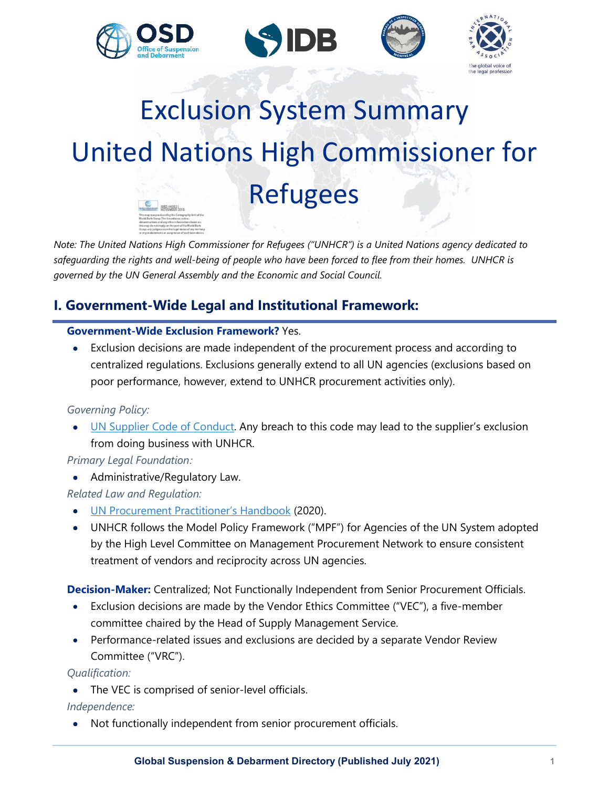







# Exclusion System Summary United Nations High Commissioner for Refugees  $-18844881$

*Note: The United Nations High Commissioner for Refugees ("UNHCR") is a United Nations agency dedicated to safeguarding the rights and well-being of people who have been forced to flee from their homes. UNHCR is governed by the UN General Assembly and the Economic and Social Council.* 

# **I. Government-Wide Legal and Institutional Framework:**

## **Government-Wide Exclusion Framework?** Yes.

• Exclusion decisions are made independent of the procurement process and according to centralized regulations. Exclusions generally extend to all UN agencies (exclusions based on poor performance, however, extend to UNHCR procurement activities only).

## *Governing Policy:*

• [UN Supplier Code of Conduct.](https://www.un.org/Depts/ptd/about-us/un-supplier-code-conduct) Any breach to this code may lead to the supplier's exclusion from doing business with UNHCR.

## *Primary Legal Foundation:*

• Administrative/Regulatory Law.

*Related Law and Regulation:*

- [UN Procurement Practitioner's Handbook](https://www.ungm.org/Shared/KnowledgeCenter/Pages/PPH2) (2020).
- UNHCR follows the Model Policy Framework ("MPF") for Agencies of the UN System adopted by the High Level Committee on Management Procurement Network to ensure consistent treatment of vendors and reciprocity across UN agencies.

**Decision-Maker:** Centralized; Not Functionally Independent from Senior Procurement Officials.

- Exclusion decisions are made by the Vendor Ethics Committee ("VEC"), a five-member committee chaired by the Head of Supply Management Service.
- Performance-related issues and exclusions are decided by a separate Vendor Review Committee ("VRC").

*Qualification:*

• The VEC is comprised of senior-level officials.

## *Independence:*

• Not functionally independent from senior procurement officials.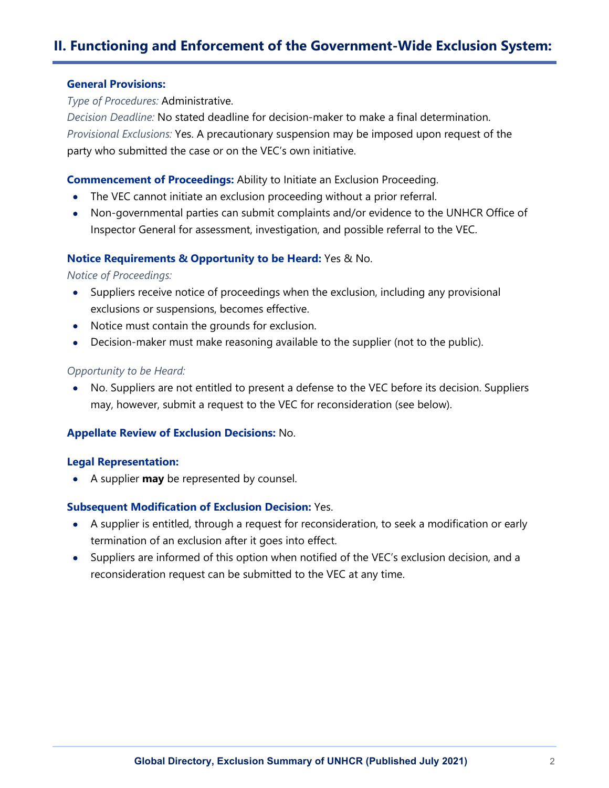# **II. Functioning and Enforcement of the Government-Wide Exclusion System:**

#### **General Provisions:**

*Type of Procedures:* Administrative.

*Decision Deadline:* No stated deadline for decision-maker to make a final determination. *Provisional Exclusions:* Yes. A precautionary suspension may be imposed upon request of the party who submitted the case or on the VEC's own initiative.

#### **Commencement of Proceedings:** Ability to Initiate an Exclusion Proceeding.

- The VEC cannot initiate an exclusion proceeding without a prior referral.
- Non-governmental parties can submit complaints and/or evidence to the UNHCR Office of Inspector General for assessment, investigation, and possible referral to the VEC.

#### **Notice Requirements & Opportunity to be Heard:** Yes & No.

*Notice of Proceedings:*

- Suppliers receive notice of proceedings when the exclusion, including any provisional exclusions or suspensions, becomes effective.
- Notice must contain the grounds for exclusion.
- Decision-maker must make reasoning available to the supplier (not to the public).

#### *Opportunity to be Heard:*

• No. Suppliers are not entitled to present a defense to the VEC before its decision. Suppliers may, however, submit a request to the VEC for reconsideration (see below).

#### **Appellate Review of Exclusion Decisions:** No.

#### **Legal Representation:**

• A supplier **may** be represented by counsel.

#### **Subsequent Modification of Exclusion Decision:** Yes.

- A supplier is entitled, through a request for reconsideration, to seek a modification or early termination of an exclusion after it goes into effect.
- Suppliers are informed of this option when notified of the VEC's exclusion decision, and a reconsideration request can be submitted to the VEC at any time.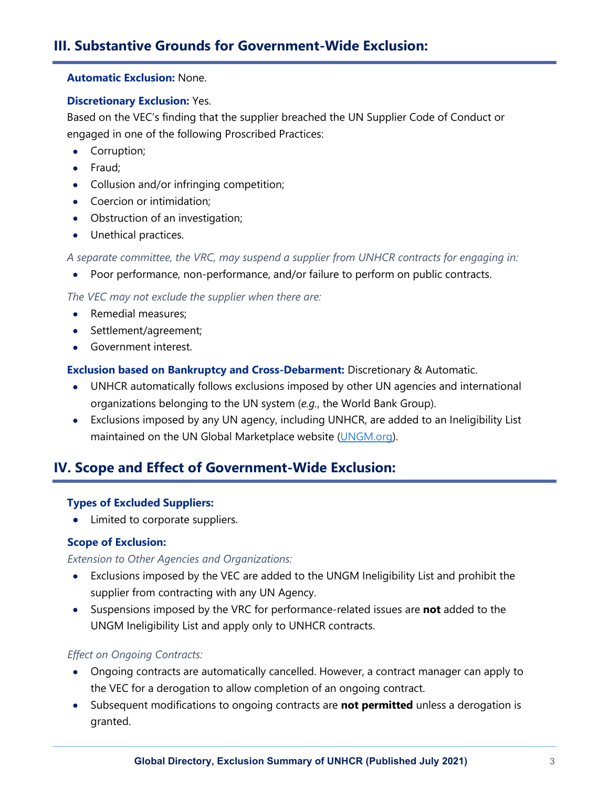#### **Automatic Exclusion:** None.

### **Discretionary Exclusion:** Yes.

Based on the VEC's finding that the supplier breached the UN Supplier Code of Conduct or engaged in one of the following Proscribed Practices:

- Corruption;
- Fraud;
- Collusion and/or infringing competition;
- Coercion or intimidation;
- Obstruction of an investigation;
- Unethical practices.

*A separate committee, the VRC, may suspend a supplier from UNHCR contracts for engaging in:*

• Poor performance, non-performance, and/or failure to perform on public contracts.

*The VEC may not exclude the supplier when there are:*

- Remedial measures:
- Settlement/agreement;
- Government interest.

## **Exclusion based on Bankruptcy and Cross-Debarment:** Discretionary & Automatic.

- UNHCR automatically follows exclusions imposed by other UN agencies and international organizations belonging to the UN system (*e.g.*, the World Bank Group).
- Exclusions imposed by any UN agency, including UNHCR, are added to an Ineligibility List maintained on the UN Global Marketplace website [\(UNGM.org\)](https://www.ungm.org/).

# **IV. Scope and Effect of Government-Wide Exclusion:**

## **Types of Excluded Suppliers:**

• Limited to corporate suppliers.

## **Scope of Exclusion:**

## *Extension to Other Agencies and Organizations:*

- Exclusions imposed by the VEC are added to the UNGM Ineligibility List and prohibit the supplier from contracting with any UN Agency.
- Suspensions imposed by the VRC for performance-related issues are **not** added to the UNGM Ineligibility List and apply only to UNHCR contracts.

## *Effect on Ongoing Contracts:*

- Ongoing contracts are automatically cancelled. However, a contract manager can apply to the VEC for a derogation to allow completion of an ongoing contract.
- Subsequent modifications to ongoing contracts are **not permitted** unless a derogation is granted.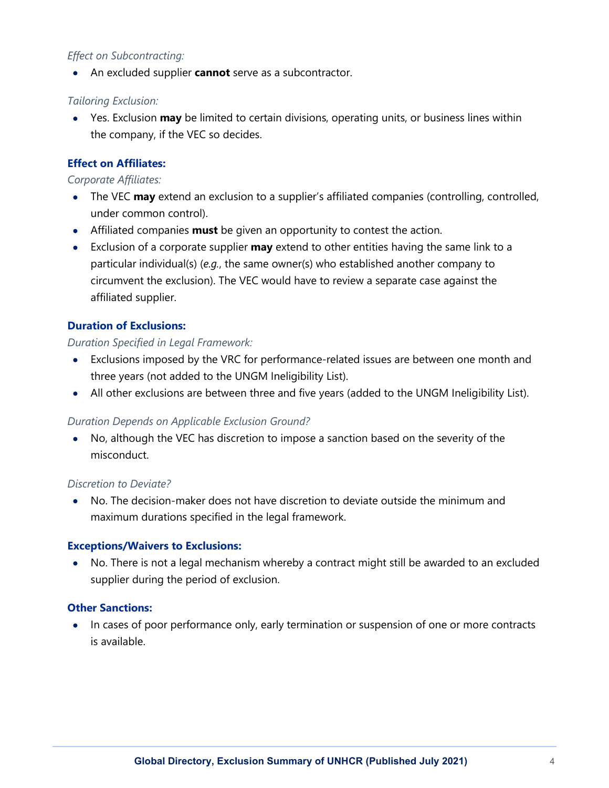## *Effect on Subcontracting:*

• An excluded supplier **cannot** serve as a subcontractor.

### *Tailoring Exclusion:*

• Yes. Exclusion **may** be limited to certain divisions, operating units, or business lines within the company, if the VEC so decides.

## **Effect on Affiliates:**

#### *Corporate Affiliates:*

- The VEC **may** extend an exclusion to a supplier's affiliated companies (controlling, controlled, under common control).
- Affiliated companies **must** be given an opportunity to contest the action.
- Exclusion of a corporate supplier **may** extend to other entities having the same link to a particular individual(s) (*e.g.*, the same owner(s) who established another company to circumvent the exclusion). The VEC would have to review a separate case against the affiliated supplier.

## **Duration of Exclusions:**

#### *Duration Specified in Legal Framework:*

- Exclusions imposed by the VRC for performance-related issues are between one month and three years (not added to the UNGM Ineligibility List).
- All other exclusions are between three and five years (added to the UNGM Ineligibility List).

## *Duration Depends on Applicable Exclusion Ground?*

• No, although the VEC has discretion to impose a sanction based on the severity of the misconduct.

#### *Discretion to Deviate?*

• No. The decision-maker does not have discretion to deviate outside the minimum and maximum durations specified in the legal framework.

#### **Exceptions/Waivers to Exclusions:**

• No. There is not a legal mechanism whereby a contract might still be awarded to an excluded supplier during the period of exclusion.

#### **Other Sanctions:**

• In cases of poor performance only, early termination or suspension of one or more contracts is available.